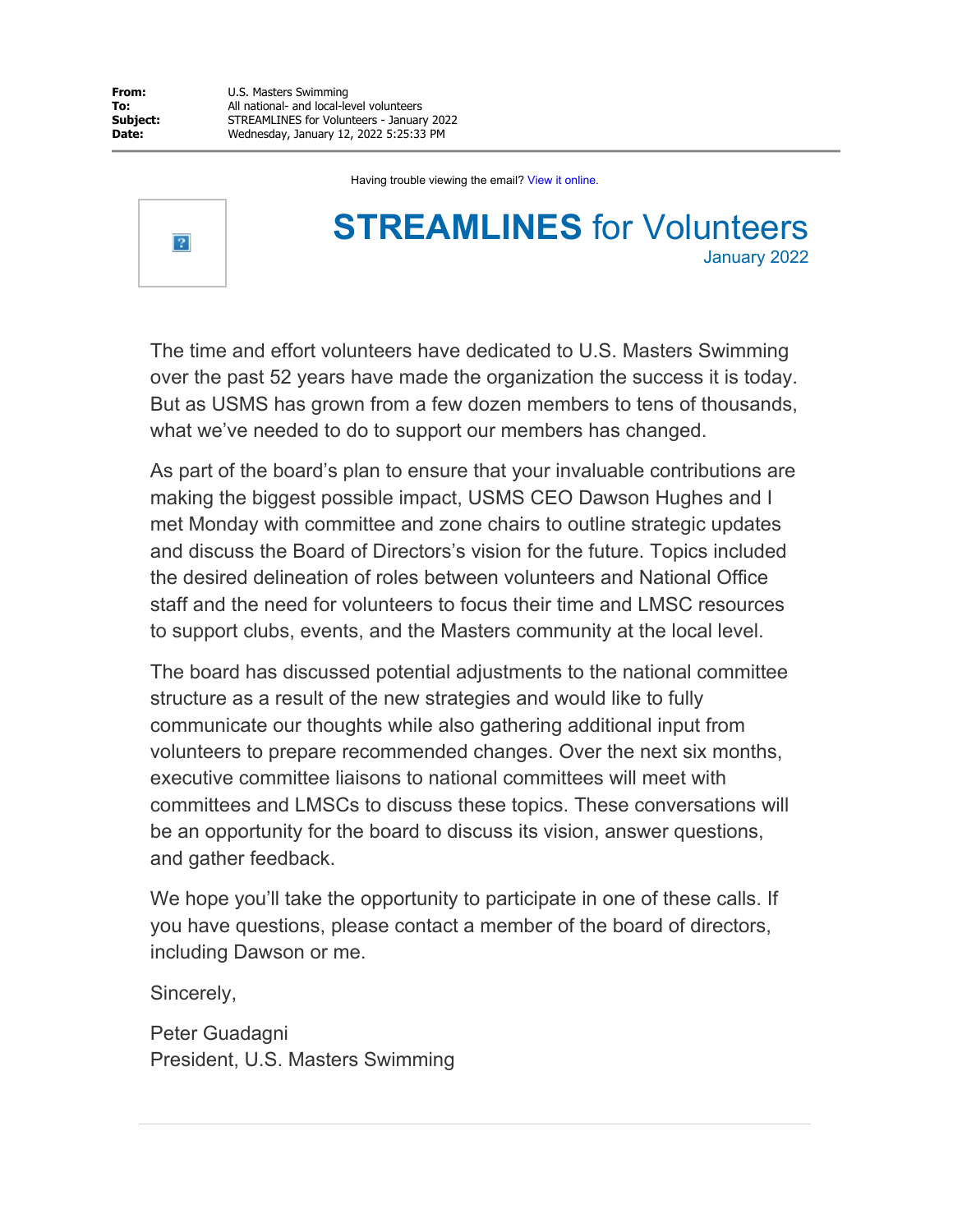Having trouble viewing the email? View it online.



# **STREAMLINES** for Volunteers January 2022

The time and effort volunteers have dedicated to U.S. Masters Swimming over the past 52 years have made the organization the success it is today. But as USMS has grown from a few dozen members to tens of thousands, what we've needed to do to support our members has changed.

As part of the board's plan to ensure that your invaluable contributions are making the biggest possible impact, USMS CEO Dawson Hughes and I met Monday with committee and zone chairs to outline strategic updates and discuss the Board of Directors's vision for the future. Topics included the desired delineation of roles between volunteers and National Office staff and the need for volunteers to focus their time and LMSC resources to support clubs, events, and the Masters community at the local level.

The board has discussed potential adjustments to the national committee structure as a result of the new strategies and would like to fully communicate our thoughts while also gathering additional input from volunteers to prepare recommended changes. Over the next six months, executive committee liaisons to national committees will meet with committees and LMSCs to discuss these topics. These conversations will be an opportunity for the board to discuss its vision, answer questions, and gather feedback.

We hope you'll take the opportunity to participate in one of these calls. If you have questions, please contact a member of the board of directors, including Dawson or me.

Sincerely,

Peter Guadagni President, U.S. Masters Swimming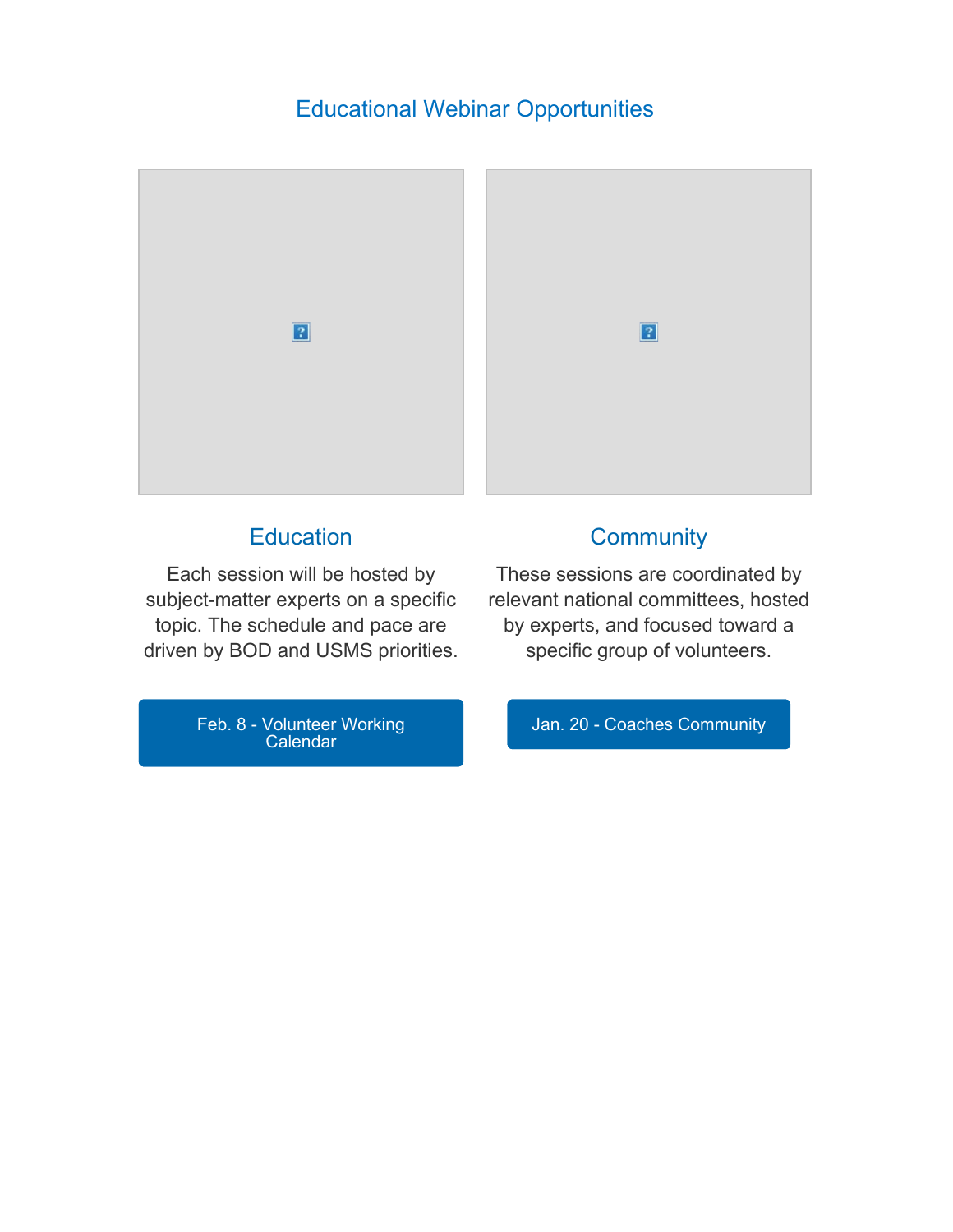## Educational Webinar Opportunities



# **[Education](https://www.usms.org/sitecore%20modules/Web/EXM/RedirectUrlPage.aspx?ec_eq=jV6MU0RfsaYo2Mn1etm%2bBaaRq2mVTPxydlbYKl6qSA04n7L1iHi90rf%2fJAueziH99JokoEIe0o9jpE5hvkLh0aEZuOtOMGxkQWyAm6zd1XhtVJ2x%2fYgLoMwR6puBUmB2XfDd1A5c4eePXZIVhFkBFmmk7ORZYEpmTPXzLZX6pBdaUoWawcte3xBCZ0KJMLyd1nDfgiVGj621lggESQEsIdtVaX%2fJUpV6DYAcAN10vaqPT1tHsennjYbneQzJrNfoMHSTBSLDNQHIfmokd%2fWz70BhVNWk57qzP1HetyiSK0FEQpaXGR3JehDdczRzmTJwFhZrxNrQsXH%2fE9hlBP9r0DmvuCFCdnsPMslvj7PEif6%2bw%2fdQU65XfUxJz0siJd8n)**

Each [session](https://www.usms.org/sitecore%20modules/Web/EXM/RedirectUrlPage.aspx?ec_eq=jV6MU0RfsaYo2Mn1etm%2bBaaRq2mVTPxydlbYKl6qSA04n7L1iHi90rf%2fJAueziH99JokoEIe0o9jpE5hvkLh0aEZuOtOMGxkQWyAm6zd1XhtVJ2x%2fYgLoMwR6puBUmB2XfDd1A5c4eePXZIVhFkBFmmk7ORZYEpmTPXzLZX6pBdaUoWawcte3xBCZ0KJMLyd1nDfgiVGj621lggESQEsIdtVaX%2fJUpV6DYAcAN10vaqPT1tHsennjYbneQzJrNfoMHSTBSLDNQHIfmokd%2fWz70BhVNWk57qzP1HetyiSK0FEQpaXGR3JehDdczRzmTJwFhZrxNrQsXH%2fE9hlBP9r0DmvuCFCdnsPMslvj7PEif6%2bw%2fdQU65XfUxJz0siJd8n) will be hosted by [subject-matter](https://www.usms.org/sitecore%20modules/Web/EXM/RedirectUrlPage.aspx?ec_eq=jV6MU0RfsaYo2Mn1etm%2bBaaRq2mVTPxydlbYKl6qSA04n7L1iHi90rf%2fJAueziH99JokoEIe0o9jpE5hvkLh0aEZuOtOMGxkQWyAm6zd1XhtVJ2x%2fYgLoMwR6puBUmB2XfDd1A5c4eePXZIVhFkBFmmk7ORZYEpmTPXzLZX6pBdaUoWawcte3xBCZ0KJMLyd1nDfgiVGj621lggESQEsIdtVaX%2fJUpV6DYAcAN10vaqPT1tHsennjYbneQzJrNfoMHSTBSLDNQHIfmokd%2fWz70BhVNWk57qzP1HetyiSK0FEQpaXGR3JehDdczRzmTJwFhZrxNrQsXH%2fE9hlBP9r0DmvuCFCdnsPMslvj7PEif6%2bw%2fdQU65XfUxJz0siJd8n) experts on a specific topic. The [schedule](https://www.usms.org/sitecore%20modules/Web/EXM/RedirectUrlPage.aspx?ec_eq=jV6MU0RfsaYo2Mn1etm%2bBaaRq2mVTPxydlbYKl6qSA04n7L1iHi90rf%2fJAueziH99JokoEIe0o9jpE5hvkLh0aEZuOtOMGxkQWyAm6zd1XhtVJ2x%2fYgLoMwR6puBUmB2XfDd1A5c4eePXZIVhFkBFmmk7ORZYEpmTPXzLZX6pBdaUoWawcte3xBCZ0KJMLyd1nDfgiVGj621lggESQEsIdtVaX%2fJUpV6DYAcAN10vaqPT1tHsennjYbneQzJrNfoMHSTBSLDNQHIfmokd%2fWz70BhVNWk57qzP1HetyiSK0FEQpaXGR3JehDdczRzmTJwFhZrxNrQsXH%2fE9hlBP9r0DmvuCFCdnsPMslvj7PEif6%2bw%2fdQU65XfUxJz0siJd8n) and pace are driven by BOD and USMS [priorities.](https://www.usms.org/sitecore%20modules/Web/EXM/RedirectUrlPage.aspx?ec_eq=jV6MU0RfsaYo2Mn1etm%2bBaaRq2mVTPxydlbYKl6qSA04n7L1iHi90rf%2fJAueziH99JokoEIe0o9jpE5hvkLh0aEZuOtOMGxkQWyAm6zd1XhtVJ2x%2fYgLoMwR6puBUmB2XfDd1A5c4eePXZIVhFkBFmmk7ORZYEpmTPXzLZX6pBdaUoWawcte3xBCZ0KJMLyd1nDfgiVGj621lggESQEsIdtVaX%2fJUpV6DYAcAN10vaqPT1tHsennjYbneQzJrNfoMHSTBSLDNQHIfmokd%2fWz70BhVNWk57qzP1HetyiSK0FEQpaXGR3JehDdczRzmTJwFhZrxNrQsXH%2fE9hlBP9r0DmvuCFCdnsPMslvj7PEif6%2bw%2fdQU65XfUxJz0siJd8n) **[Community](https://www.usms.org/sitecore%20modules/Web/EXM/RedirectUrlPage.aspx?ec_eq=oL0BrKkFBxrrcHNm1zOIHpBuBeNnZkxH1GI%2f%2fh3hMVgIgLPY54zXGtDo8DvOyPmrbe2cwoXHHMqqD0%2b8wou9DEq%2bAtxF7ePncnRoukiDovI4ug2a8Kr%2f9KjehJOtOyOrSKl7lHyf2wkUUQMo0qJF8kyUjK3GczCxcyOWcj9zj0ugibakD5UBsCcxof7HnuFlpL6jSIKMTawjHi8s3zjBFGBRRLIcC4kubTgQesqqGUtnvjvyJM4cYeN7LgkSQCfXwb%2fve9%2bQq0TnsIKu98q0U4ZqvqLqin6cH%2fTg0gXR6ZwVMRvM5DFXPy%2blo7cWYQn%2b489MnTqeHjuDVyrFJ3I7ZvSPjyhuKoWe%2f3M6LgRIoCaaJoRTD%2f6wImHT6p8Opl0h)** 

These sessions are [coordinated](https://www.usms.org/sitecore%20modules/Web/EXM/RedirectUrlPage.aspx?ec_eq=oL0BrKkFBxrrcHNm1zOIHpBuBeNnZkxH1GI%2f%2fh3hMVgIgLPY54zXGtDo8DvOyPmrbe2cwoXHHMqqD0%2b8wou9DEq%2bAtxF7ePncnRoukiDovI4ug2a8Kr%2f9KjehJOtOyOrSKl7lHyf2wkUUQMo0qJF8kyUjK3GczCxcyOWcj9zj0ugibakD5UBsCcxof7HnuFlpL6jSIKMTawjHi8s3zjBFGBRRLIcC4kubTgQesqqGUtnvjvyJM4cYeN7LgkSQCfXwb%2fve9%2bQq0TnsIKu98q0U4ZqvqLqin6cH%2fTg0gXR6ZwVMRvM5DFXPy%2blo7cWYQn%2b489MnTqeHjuDVyrFJ3I7ZvSPjyhuKoWe%2f3M6LgRIoCaaJoRTD%2f6wImHT6p8Opl0h) by relevant national [committees,](https://www.usms.org/sitecore%20modules/Web/EXM/RedirectUrlPage.aspx?ec_eq=oL0BrKkFBxrrcHNm1zOIHpBuBeNnZkxH1GI%2f%2fh3hMVgIgLPY54zXGtDo8DvOyPmrbe2cwoXHHMqqD0%2b8wou9DEq%2bAtxF7ePncnRoukiDovI4ug2a8Kr%2f9KjehJOtOyOrSKl7lHyf2wkUUQMo0qJF8kyUjK3GczCxcyOWcj9zj0ugibakD5UBsCcxof7HnuFlpL6jSIKMTawjHi8s3zjBFGBRRLIcC4kubTgQesqqGUtnvjvyJM4cYeN7LgkSQCfXwb%2fve9%2bQq0TnsIKu98q0U4ZqvqLqin6cH%2fTg0gXR6ZwVMRvM5DFXPy%2blo7cWYQn%2b489MnTqeHjuDVyrFJ3I7ZvSPjyhuKoWe%2f3M6LgRIoCaaJoRTD%2f6wImHT6p8Opl0h) hosted by [experts,](https://www.usms.org/sitecore%20modules/Web/EXM/RedirectUrlPage.aspx?ec_eq=oL0BrKkFBxrrcHNm1zOIHpBuBeNnZkxH1GI%2f%2fh3hMVgIgLPY54zXGtDo8DvOyPmrbe2cwoXHHMqqD0%2b8wou9DEq%2bAtxF7ePncnRoukiDovI4ug2a8Kr%2f9KjehJOtOyOrSKl7lHyf2wkUUQMo0qJF8kyUjK3GczCxcyOWcj9zj0ugibakD5UBsCcxof7HnuFlpL6jSIKMTawjHi8s3zjBFGBRRLIcC4kubTgQesqqGUtnvjvyJM4cYeN7LgkSQCfXwb%2fve9%2bQq0TnsIKu98q0U4ZqvqLqin6cH%2fTg0gXR6ZwVMRvM5DFXPy%2blo7cWYQn%2b489MnTqeHjuDVyrFJ3I7ZvSPjyhuKoWe%2f3M6LgRIoCaaJoRTD%2f6wImHT6p8Opl0h) and focused toward a specific group of [volunteers.](https://www.usms.org/sitecore%20modules/Web/EXM/RedirectUrlPage.aspx?ec_eq=oL0BrKkFBxrrcHNm1zOIHpBuBeNnZkxH1GI%2f%2fh3hMVgIgLPY54zXGtDo8DvOyPmrbe2cwoXHHMqqD0%2b8wou9DEq%2bAtxF7ePncnRoukiDovI4ug2a8Kr%2f9KjehJOtOyOrSKl7lHyf2wkUUQMo0qJF8kyUjK3GczCxcyOWcj9zj0ugibakD5UBsCcxof7HnuFlpL6jSIKMTawjHi8s3zjBFGBRRLIcC4kubTgQesqqGUtnvjvyJM4cYeN7LgkSQCfXwb%2fve9%2bQq0TnsIKu98q0U4ZqvqLqin6cH%2fTg0gXR6ZwVMRvM5DFXPy%2blo7cWYQn%2b489MnTqeHjuDVyrFJ3I7ZvSPjyhuKoWe%2f3M6LgRIoCaaJoRTD%2f6wImHT6p8Opl0h)

Feb. 8 - [Volunteer](https://www.usms.org/sitecore%20modules/Web/EXM/RedirectUrlPage.aspx?ec_eq=vFoKkMixZIigSOjEOruxHV1WFNgr1gCfdQObqOfc9dZYrF8C0UbEnhqR9bRD6KRAqocIUZ3Ket9yzI9%2fW0S4bvugS%2fzQbFzC5ZiKqJtrITeM8DQx8AlVioYN3POZJ1QG4wWY2aieIXTkzFRz7x8BKeY8Au0aEJRGcYRW1YFUh0VY40KihUO2Lv4w0iIurCqVn%2fScsc%2b1msBQX%2bgM8ShD4TDdnYH1M2vwY4Lghr6oeGuYwwtz0aW%2fsl2NQJ9W%2fy9wMzXcYK69e5NPRx6c7UqfujMMFYiiy%2fZI7J0Q5j2xMbPLGmo5u4HJ0Iof1j0dTHc3cbBufo1i7Ug6Lo9hGCQMvXM3OAYGfz5XCzT%2bCv%2fpwxY6iwBfQKtPmaHwWIvuZRq3) Working [Calendar](https://www.usms.org/sitecore%20modules/Web/EXM/RedirectUrlPage.aspx?ec_eq=vFoKkMixZIigSOjEOruxHV1WFNgr1gCfdQObqOfc9dZYrF8C0UbEnhqR9bRD6KRAqocIUZ3Ket9yzI9%2fW0S4bvugS%2fzQbFzC5ZiKqJtrITeM8DQx8AlVioYN3POZJ1QG4wWY2aieIXTkzFRz7x8BKeY8Au0aEJRGcYRW1YFUh0VY40KihUO2Lv4w0iIurCqVn%2fScsc%2b1msBQX%2bgM8ShD4TDdnYH1M2vwY4Lghr6oeGuYwwtz0aW%2fsl2NQJ9W%2fy9wMzXcYK69e5NPRx6c7UqfujMMFYiiy%2fZI7J0Q5j2xMbPLGmo5u4HJ0Iof1j0dTHc3cbBufo1i7Ug6Lo9hGCQMvXM3OAYGfz5XCzT%2bCv%2fpwxY6iwBfQKtPmaHwWIvuZRq3)

Jan. 20 - Coaches [Community](https://www.usms.org/sitecore%20modules/Web/EXM/RedirectUrlPage.aspx?ec_eq=zoFNCo6uLmE9yYOC5Us4BTQNHq4Eb69TlnFRSJLXIbFnVeneYu%2btqxa3cfaxdn%2bRfqQxuz%2bML0BAy0un0BTeuMMfLnwtgoGRLZqscgXD50LAh1krgLDRrtqXgsmLRsBi1wRudVhZ6JCB6%2bQouhsQ4z%2buaCnpNy2pzkrtuoIJDJhVxo2EYHESOrTSAzi04DcC4TDJidgORLtCnOegUNbQmzTr%2f0ht0gT4n33F86NuT6dvwFjkMtNTZ1%2bXf6YJjapZvMSe9l2ZNzXM24btd%2f3%2bmsvlVQAIdR2HIYZ%2bAHW%2fYisRdpKtmPK1RhiIPsLzmO35Fw63eZUvD90j6%2b7vTYZk1DLMG%2bYai358iCn6c9FQoPBTvBV81f7WUs3yZHCmJo3L)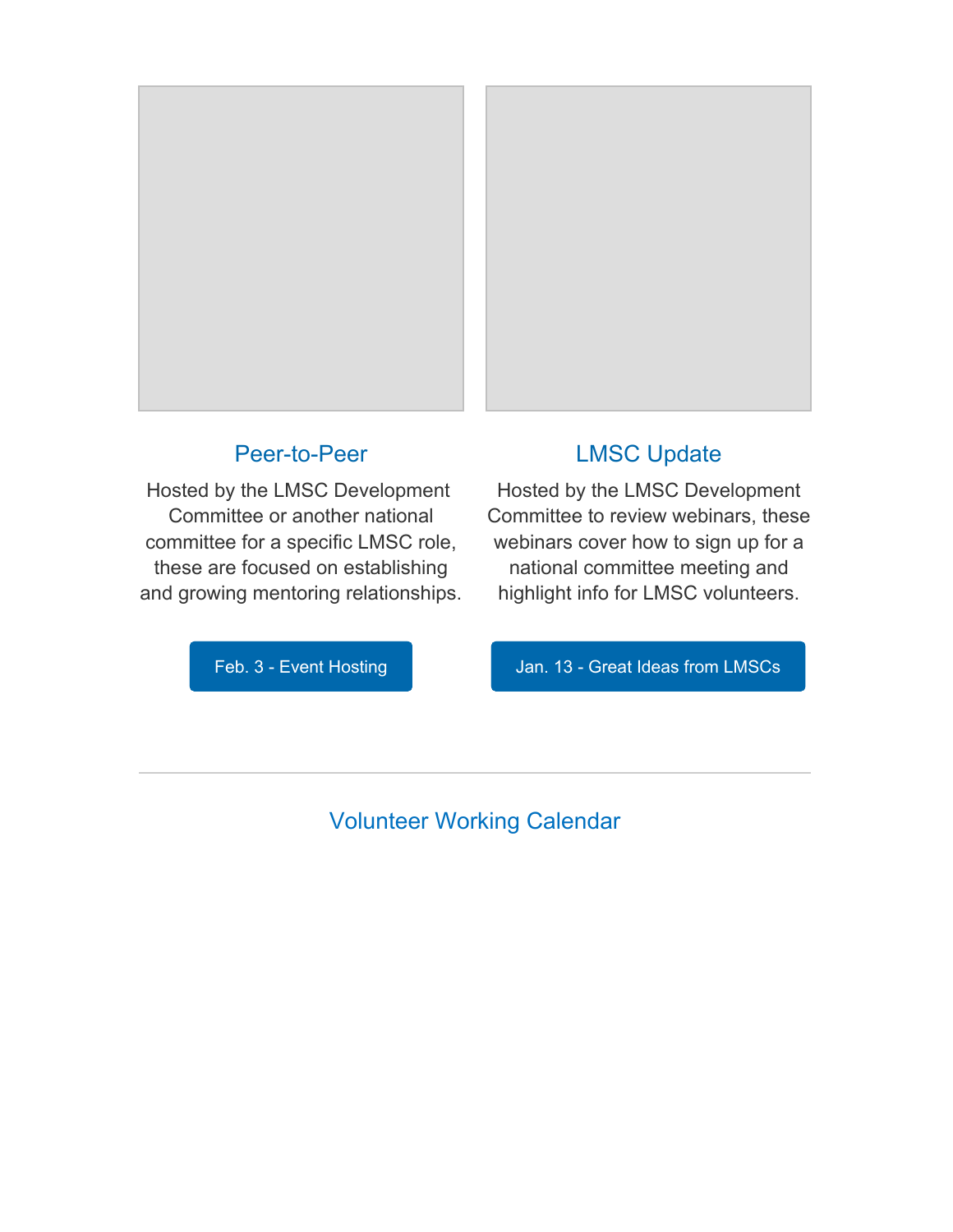

### [Peer-to-Peer](https://www.usms.org/sitecore%20modules/Web/EXM/RedirectUrlPage.aspx?ec_eq=olR6%2fd0q4j0h%2bG12ceRj8xgDP%2fIZY0%2fIIM8zs%2foQ1K%2buAcNwunZAAeqGxDo4dkXRBz9LeuO6Q%2b%2fe0KjeViUcarPGWTCsM195u1xdb5S9nxlkeCnpLrg9MX1I4QRxmIhLEoWB6LaWVi1otJAxM%2fBbhEv%2bA8Ch%2fL2vAAph2IuI6HpN%2fPbYLIFohFmyXDIGOh6r%2blOL9S7gYEJ%2byZTHJBkH3UMuYIHN3ogYybd20PBmyL0yDQzg4lkXlosHrzXYC5MHYT5jvFs6Y9koIRfBUnWoF2sBkOYfAJmM785dahd1yMAJzLbp2yUsmyf%2fk1aGNNPFtRdC3iKiBjqEyaiVSNSXaBqO0jsCkG8JKEMqhNRs%2fKpbsryC0ClfVWG4ifwuYK0g)

Hosted by the LMSC [Development](https://www.usms.org/sitecore%20modules/Web/EXM/RedirectUrlPage.aspx?ec_eq=olR6%2fd0q4j0h%2bG12ceRj8xgDP%2fIZY0%2fIIM8zs%2foQ1K%2buAcNwunZAAeqGxDo4dkXRBz9LeuO6Q%2b%2fe0KjeViUcarPGWTCsM195u1xdb5S9nxlkeCnpLrg9MX1I4QRxmIhLEoWB6LaWVi1otJAxM%2fBbhEv%2bA8Ch%2fL2vAAph2IuI6HpN%2fPbYLIFohFmyXDIGOh6r%2blOL9S7gYEJ%2byZTHJBkH3UMuYIHN3ogYybd20PBmyL0yDQzg4lkXlosHrzXYC5MHYT5jvFs6Y9koIRfBUnWoF2sBkOYfAJmM785dahd1yMAJzLbp2yUsmyf%2fk1aGNNPFtRdC3iKiBjqEyaiVSNSXaBqO0jsCkG8JKEMqhNRs%2fKpbsryC0ClfVWG4ifwuYK0g) [Committee](https://www.usms.org/sitecore%20modules/Web/EXM/RedirectUrlPage.aspx?ec_eq=olR6%2fd0q4j0h%2bG12ceRj8xgDP%2fIZY0%2fIIM8zs%2foQ1K%2buAcNwunZAAeqGxDo4dkXRBz9LeuO6Q%2b%2fe0KjeViUcarPGWTCsM195u1xdb5S9nxlkeCnpLrg9MX1I4QRxmIhLEoWB6LaWVi1otJAxM%2fBbhEv%2bA8Ch%2fL2vAAph2IuI6HpN%2fPbYLIFohFmyXDIGOh6r%2blOL9S7gYEJ%2byZTHJBkH3UMuYIHN3ogYybd20PBmyL0yDQzg4lkXlosHrzXYC5MHYT5jvFs6Y9koIRfBUnWoF2sBkOYfAJmM785dahd1yMAJzLbp2yUsmyf%2fk1aGNNPFtRdC3iKiBjqEyaiVSNSXaBqO0jsCkG8JKEMqhNRs%2fKpbsryC0ClfVWG4ifwuYK0g) or another national [committee](https://www.usms.org/sitecore%20modules/Web/EXM/RedirectUrlPage.aspx?ec_eq=olR6%2fd0q4j0h%2bG12ceRj8xgDP%2fIZY0%2fIIM8zs%2foQ1K%2buAcNwunZAAeqGxDo4dkXRBz9LeuO6Q%2b%2fe0KjeViUcarPGWTCsM195u1xdb5S9nxlkeCnpLrg9MX1I4QRxmIhLEoWB6LaWVi1otJAxM%2fBbhEv%2bA8Ch%2fL2vAAph2IuI6HpN%2fPbYLIFohFmyXDIGOh6r%2blOL9S7gYEJ%2byZTHJBkH3UMuYIHN3ogYybd20PBmyL0yDQzg4lkXlosHrzXYC5MHYT5jvFs6Y9koIRfBUnWoF2sBkOYfAJmM785dahd1yMAJzLbp2yUsmyf%2fk1aGNNPFtRdC3iKiBjqEyaiVSNSXaBqO0jsCkG8JKEMqhNRs%2fKpbsryC0ClfVWG4ifwuYK0g) for a specific LMSC role, these are focused on [establishing](https://www.usms.org/sitecore%20modules/Web/EXM/RedirectUrlPage.aspx?ec_eq=olR6%2fd0q4j0h%2bG12ceRj8xgDP%2fIZY0%2fIIM8zs%2foQ1K%2buAcNwunZAAeqGxDo4dkXRBz9LeuO6Q%2b%2fe0KjeViUcarPGWTCsM195u1xdb5S9nxlkeCnpLrg9MX1I4QRxmIhLEoWB6LaWVi1otJAxM%2fBbhEv%2bA8Ch%2fL2vAAph2IuI6HpN%2fPbYLIFohFmyXDIGOh6r%2blOL9S7gYEJ%2byZTHJBkH3UMuYIHN3ogYybd20PBmyL0yDQzg4lkXlosHrzXYC5MHYT5jvFs6Y9koIRfBUnWoF2sBkOYfAJmM785dahd1yMAJzLbp2yUsmyf%2fk1aGNNPFtRdC3iKiBjqEyaiVSNSXaBqO0jsCkG8JKEMqhNRs%2fKpbsryC0ClfVWG4ifwuYK0g) and growing mentoring [relationships.](https://www.usms.org/sitecore%20modules/Web/EXM/RedirectUrlPage.aspx?ec_eq=olR6%2fd0q4j0h%2bG12ceRj8xgDP%2fIZY0%2fIIM8zs%2foQ1K%2buAcNwunZAAeqGxDo4dkXRBz9LeuO6Q%2b%2fe0KjeViUcarPGWTCsM195u1xdb5S9nxlkeCnpLrg9MX1I4QRxmIhLEoWB6LaWVi1otJAxM%2fBbhEv%2bA8Ch%2fL2vAAph2IuI6HpN%2fPbYLIFohFmyXDIGOh6r%2blOL9S7gYEJ%2byZTHJBkH3UMuYIHN3ogYybd20PBmyL0yDQzg4lkXlosHrzXYC5MHYT5jvFs6Y9koIRfBUnWoF2sBkOYfAJmM785dahd1yMAJzLbp2yUsmyf%2fk1aGNNPFtRdC3iKiBjqEyaiVSNSXaBqO0jsCkG8JKEMqhNRs%2fKpbsryC0ClfVWG4ifwuYK0g)

## LMSC [Update](https://www.usms.org/sitecore%20modules/Web/EXM/RedirectUrlPage.aspx?ec_eq=mHdSYgnBExhFKXDFmjoSREXbuUlMaUiYOk18T4TET61nBUGJZ5dQAKYQwRGQ3HIcbc1PZtApaEXcQ9h8qlOJ%2b2jDSxAvIW0Dg%2br%2fFyjBYmQeot0KByrB%2fP3ERdypBwmZERZCZXcIZmzqObphSzsv5r854CkoD1xFP%2fr%2bpZHs6IP1SwtYSe6WGk4T%2fcCLYLtsMJFqeaD7ps44JzHxABdf8h6piKVZV%2bScnjXPfL4kLOJK2rfShnrr9dvVHTqzTuYO5WBHqqLDg%2beolZZl8bVVga%2bwfFLmkPs4B6EnYsAjG42%2f9Kv7%2bZE4EgneAWvGDjm72cyZleR6thhz%2fbWNyR7pbZj6Pmi%2fW0mErBV5WyiSSQ3vog%2bieFDqy%2fy6fdAP1%2fzm)

Hosted by the LMSC [Development](https://www.usms.org/sitecore%20modules/Web/EXM/RedirectUrlPage.aspx?ec_eq=mHdSYgnBExhFKXDFmjoSREXbuUlMaUiYOk18T4TET61nBUGJZ5dQAKYQwRGQ3HIcbc1PZtApaEXcQ9h8qlOJ%2b2jDSxAvIW0Dg%2br%2fFyjBYmQeot0KByrB%2fP3ERdypBwmZERZCZXcIZmzqObphSzsv5r854CkoD1xFP%2fr%2bpZHs6IP1SwtYSe6WGk4T%2fcCLYLtsMJFqeaD7ps44JzHxABdf8h6piKVZV%2bScnjXPfL4kLOJK2rfShnrr9dvVHTqzTuYO5WBHqqLDg%2beolZZl8bVVga%2bwfFLmkPs4B6EnYsAjG42%2f9Kv7%2bZE4EgneAWvGDjm72cyZleR6thhz%2fbWNyR7pbZj6Pmi%2fW0mErBV5WyiSSQ3vog%2bieFDqy%2fy6fdAP1%2fzm) [Committee](https://www.usms.org/sitecore%20modules/Web/EXM/RedirectUrlPage.aspx?ec_eq=mHdSYgnBExhFKXDFmjoSREXbuUlMaUiYOk18T4TET61nBUGJZ5dQAKYQwRGQ3HIcbc1PZtApaEXcQ9h8qlOJ%2b2jDSxAvIW0Dg%2br%2fFyjBYmQeot0KByrB%2fP3ERdypBwmZERZCZXcIZmzqObphSzsv5r854CkoD1xFP%2fr%2bpZHs6IP1SwtYSe6WGk4T%2fcCLYLtsMJFqeaD7ps44JzHxABdf8h6piKVZV%2bScnjXPfL4kLOJK2rfShnrr9dvVHTqzTuYO5WBHqqLDg%2beolZZl8bVVga%2bwfFLmkPs4B6EnYsAjG42%2f9Kv7%2bZE4EgneAWvGDjm72cyZleR6thhz%2fbWNyR7pbZj6Pmi%2fW0mErBV5WyiSSQ3vog%2bieFDqy%2fy6fdAP1%2fzm) to review webinars, these [webinars](https://www.usms.org/sitecore%20modules/Web/EXM/RedirectUrlPage.aspx?ec_eq=mHdSYgnBExhFKXDFmjoSREXbuUlMaUiYOk18T4TET61nBUGJZ5dQAKYQwRGQ3HIcbc1PZtApaEXcQ9h8qlOJ%2b2jDSxAvIW0Dg%2br%2fFyjBYmQeot0KByrB%2fP3ERdypBwmZERZCZXcIZmzqObphSzsv5r854CkoD1xFP%2fr%2bpZHs6IP1SwtYSe6WGk4T%2fcCLYLtsMJFqeaD7ps44JzHxABdf8h6piKVZV%2bScnjXPfL4kLOJK2rfShnrr9dvVHTqzTuYO5WBHqqLDg%2beolZZl8bVVga%2bwfFLmkPs4B6EnYsAjG42%2f9Kv7%2bZE4EgneAWvGDjm72cyZleR6thhz%2fbWNyR7pbZj6Pmi%2fW0mErBV5WyiSSQ3vog%2bieFDqy%2fy6fdAP1%2fzm) cover how to sign up for a national [committee](https://www.usms.org/sitecore%20modules/Web/EXM/RedirectUrlPage.aspx?ec_eq=mHdSYgnBExhFKXDFmjoSREXbuUlMaUiYOk18T4TET61nBUGJZ5dQAKYQwRGQ3HIcbc1PZtApaEXcQ9h8qlOJ%2b2jDSxAvIW0Dg%2br%2fFyjBYmQeot0KByrB%2fP3ERdypBwmZERZCZXcIZmzqObphSzsv5r854CkoD1xFP%2fr%2bpZHs6IP1SwtYSe6WGk4T%2fcCLYLtsMJFqeaD7ps44JzHxABdf8h6piKVZV%2bScnjXPfL4kLOJK2rfShnrr9dvVHTqzTuYO5WBHqqLDg%2beolZZl8bVVga%2bwfFLmkPs4B6EnYsAjG42%2f9Kv7%2bZE4EgneAWvGDjm72cyZleR6thhz%2fbWNyR7pbZj6Pmi%2fW0mErBV5WyiSSQ3vog%2bieFDqy%2fy6fdAP1%2fzm) meeting and highlight info for LMSC [volunteers.](https://www.usms.org/sitecore%20modules/Web/EXM/RedirectUrlPage.aspx?ec_eq=mHdSYgnBExhFKXDFmjoSREXbuUlMaUiYOk18T4TET61nBUGJZ5dQAKYQwRGQ3HIcbc1PZtApaEXcQ9h8qlOJ%2b2jDSxAvIW0Dg%2br%2fFyjBYmQeot0KByrB%2fP3ERdypBwmZERZCZXcIZmzqObphSzsv5r854CkoD1xFP%2fr%2bpZHs6IP1SwtYSe6WGk4T%2fcCLYLtsMJFqeaD7ps44JzHxABdf8h6piKVZV%2bScnjXPfL4kLOJK2rfShnrr9dvVHTqzTuYO5WBHqqLDg%2beolZZl8bVVga%2bwfFLmkPs4B6EnYsAjG42%2f9Kv7%2bZE4EgneAWvGDjm72cyZleR6thhz%2fbWNyR7pbZj6Pmi%2fW0mErBV5WyiSSQ3vog%2bieFDqy%2fy6fdAP1%2fzm)

Feb. 3 - Event [Hosting](https://www.usms.org/sitecore%20modules/Web/EXM/RedirectUrlPage.aspx?ec_eq=v%2fEixl9Gl0o9ss2cnT6W4uytK4ilkCLSyGhZQzHTRRzQ6zAikkksHwfaP5UB6QcsE%2fQWK5uqrU9RDAx%2bzjCRFCKnW7p%2fQAk87yCtjUoTg7Wrp9tJXb9d4d93G%2fFTWxeAHUA%2b9RCNxklUuUmAXPjpQVYvOuN12vNAp7H1jDV9fJ5GUc47PUQYQJG%2bwrZYs31iwKGRYASNYQeGQ%2f%2f45f3wU%2fo7M0RtVXYkAjnJfrvEM1eUaWt4Y70rWTG4uFyAX6MVIcTyEKxt9mTO7%2bemKweKkaktCcCXL4vhYbphN0LgkIf23VDDfRcRs0OzpnCkrmUUE4pMS24gOgfSyVNn74HoUkxTvORcy8YjeQKYLYke%2bh9bcwYh31gPLb4BKmhTfaUr)

Jan. 13 - Great Ideas from [LMSCs](https://www.usms.org/sitecore%20modules/Web/EXM/RedirectUrlPage.aspx?ec_eq=gy6VJdVgj2%2feX%2fuFoxkWJs7wEj7Uuwr9tcSzs0RRO708zTv9u1CbFlZsOzXE%2fRmUubBJqADLqwUgd6tNuefrzx05in3LjR5H12DRV%2fHJpGfieEzaX%2ftrVRiGL%2flygUGaz%2fOi0tnFOV9mhxT%2fKg3b8btdwT7qyg5WBFkmzQd4ilsxyFmXLvRKCydG%2fVjJjqm3ZKODfOBw12rsfp1nOZx47iIp0sUTcv%2bb233uaJvqt9CEAFgKc6u9B%2fvJ31O45v1WzIbwt6D5cHRw%2bfZANVCDkmjIZLiZFKdu3pYLEWuldC33dtUPkqlc1V6aTXAiFCzRmRBg3d18CXkrucUVrWdqjYfb86CMhhhrTnP3Ha9A23BfN67PwxGZ60KNSQLigJrP)

Volunteer Working Calendar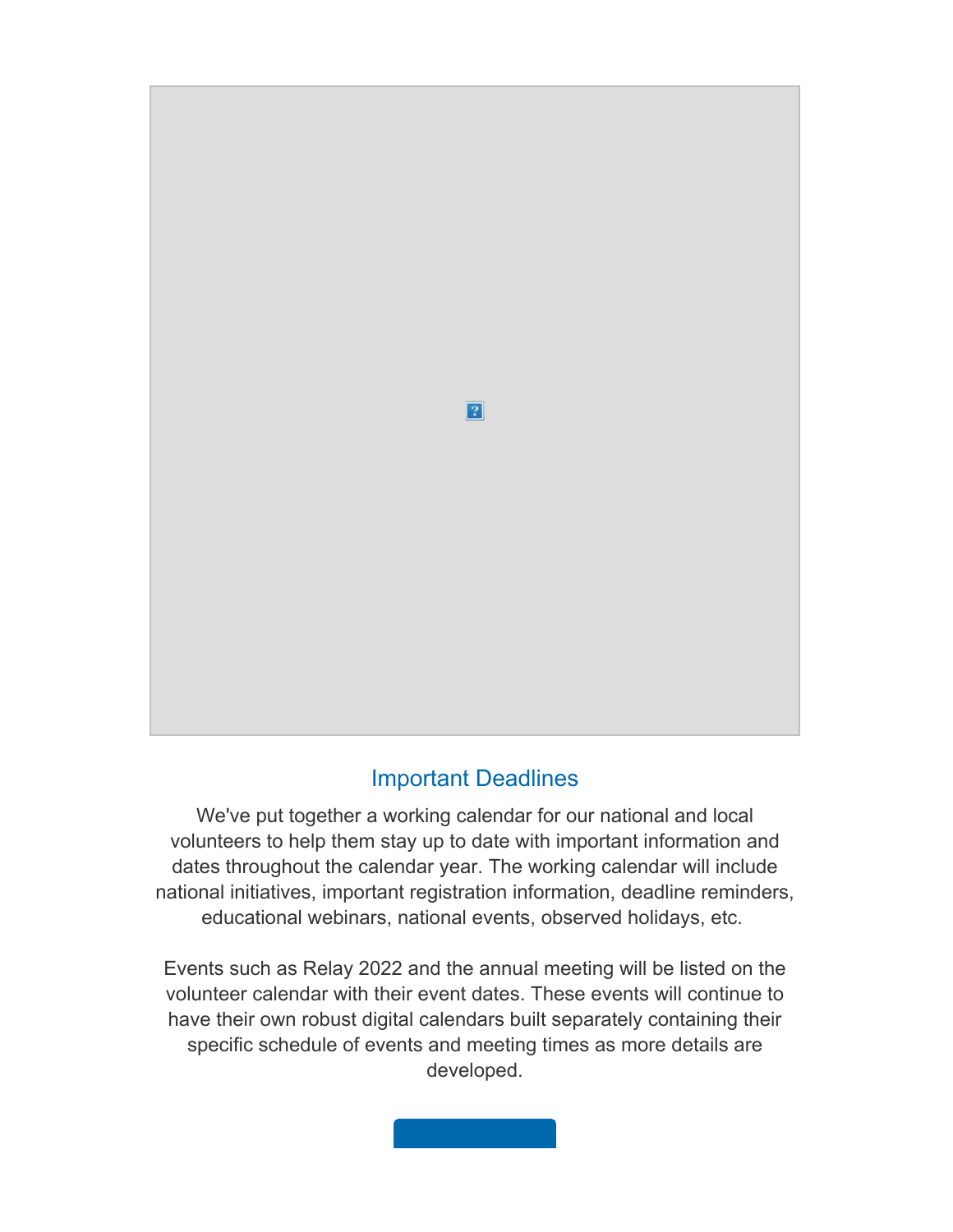

# Important [Deadlines](https://www.usms.org/sitecore%20modules/Web/EXM/RedirectUrlPage.aspx?ec_eq=%2bKzDTcqBcztS6WatzIIE%2bRuBY4MuDy9FB3lGyOE6u12%2b158broO2FrgzqtagD0L44f1EC%2b%2b2uD8uNVVYJR8e9PGTdXM14EgWlT%2fzXy0QP%2b7iFE2vbpfEU9fnWPGYJlnIsJb5c50iya8KBn%2bLy73ZMJT98CoWR2PMeDabouCMnFiThn4mv0SC2DVQ%2bwZ3Gg47Ixnfa5boR2CIaeGtghQeE0CgIirE9WKzJ%2fu%2frGS0bviRAIJaK5clowTnEfh6XyRGcAWHzxHIaJRLqJI8iADxEKlooWbiD8KnFrMdrPRBGrHpjCTsNVXjGtxzEdD7vkT2R4CZIF7cahpZN%2fI4yzBUE01FikEo%2fWfA4WPDmYUKDJY%3d)

We've put together a working [calendar](https://www.usms.org/sitecore%20modules/Web/EXM/RedirectUrlPage.aspx?ec_eq=%2bKzDTcqBcztS6WatzIIE%2bRuBY4MuDy9FB3lGyOE6u12%2b158broO2FrgzqtagD0L44f1EC%2b%2b2uD8uNVVYJR8e9PGTdXM14EgWlT%2fzXy0QP%2b7iFE2vbpfEU9fnWPGYJlnIsJb5c50iya8KBn%2bLy73ZMJT98CoWR2PMeDabouCMnFiThn4mv0SC2DVQ%2bwZ3Gg47Ixnfa5boR2CIaeGtghQeE0CgIirE9WKzJ%2fu%2frGS0bviRAIJaK5clowTnEfh6XyRGcAWHzxHIaJRLqJI8iADxEKlooWbiD8KnFrMdrPRBGrHpjCTsNVXjGtxzEdD7vkT2R4CZIF7cahpZN%2fI4yzBUE01FikEo%2fWfA4WPDmYUKDJY%3d) for our national and local volunteers to help them stay up to date with important [information](https://www.usms.org/sitecore%20modules/Web/EXM/RedirectUrlPage.aspx?ec_eq=%2bKzDTcqBcztS6WatzIIE%2bRuBY4MuDy9FB3lGyOE6u12%2b158broO2FrgzqtagD0L44f1EC%2b%2b2uD8uNVVYJR8e9PGTdXM14EgWlT%2fzXy0QP%2b7iFE2vbpfEU9fnWPGYJlnIsJb5c50iya8KBn%2bLy73ZMJT98CoWR2PMeDabouCMnFiThn4mv0SC2DVQ%2bwZ3Gg47Ixnfa5boR2CIaeGtghQeE0CgIirE9WKzJ%2fu%2frGS0bviRAIJaK5clowTnEfh6XyRGcAWHzxHIaJRLqJI8iADxEKlooWbiD8KnFrMdrPRBGrHpjCTsNVXjGtxzEdD7vkT2R4CZIF7cahpZN%2fI4yzBUE01FikEo%2fWfA4WPDmYUKDJY%3d) and dates [throughout](https://www.usms.org/sitecore%20modules/Web/EXM/RedirectUrlPage.aspx?ec_eq=%2bKzDTcqBcztS6WatzIIE%2bRuBY4MuDy9FB3lGyOE6u12%2b158broO2FrgzqtagD0L44f1EC%2b%2b2uD8uNVVYJR8e9PGTdXM14EgWlT%2fzXy0QP%2b7iFE2vbpfEU9fnWPGYJlnIsJb5c50iya8KBn%2bLy73ZMJT98CoWR2PMeDabouCMnFiThn4mv0SC2DVQ%2bwZ3Gg47Ixnfa5boR2CIaeGtghQeE0CgIirE9WKzJ%2fu%2frGS0bviRAIJaK5clowTnEfh6XyRGcAWHzxHIaJRLqJI8iADxEKlooWbiD8KnFrMdrPRBGrHpjCTsNVXjGtxzEdD7vkT2R4CZIF7cahpZN%2fI4yzBUE01FikEo%2fWfA4WPDmYUKDJY%3d) the calendar year. The working calendar will include national initiatives, important registration [information,](https://www.usms.org/sitecore%20modules/Web/EXM/RedirectUrlPage.aspx?ec_eq=%2bKzDTcqBcztS6WatzIIE%2bRuBY4MuDy9FB3lGyOE6u12%2b158broO2FrgzqtagD0L44f1EC%2b%2b2uD8uNVVYJR8e9PGTdXM14EgWlT%2fzXy0QP%2b7iFE2vbpfEU9fnWPGYJlnIsJb5c50iya8KBn%2bLy73ZMJT98CoWR2PMeDabouCMnFiThn4mv0SC2DVQ%2bwZ3Gg47Ixnfa5boR2CIaeGtghQeE0CgIirE9WKzJ%2fu%2frGS0bviRAIJaK5clowTnEfh6XyRGcAWHzxHIaJRLqJI8iADxEKlooWbiD8KnFrMdrPRBGrHpjCTsNVXjGtxzEdD7vkT2R4CZIF7cahpZN%2fI4yzBUE01FikEo%2fWfA4WPDmYUKDJY%3d) deadline reminders, [educational](https://www.usms.org/sitecore%20modules/Web/EXM/RedirectUrlPage.aspx?ec_eq=%2bKzDTcqBcztS6WatzIIE%2bRuBY4MuDy9FB3lGyOE6u12%2b158broO2FrgzqtagD0L44f1EC%2b%2b2uD8uNVVYJR8e9PGTdXM14EgWlT%2fzXy0QP%2b7iFE2vbpfEU9fnWPGYJlnIsJb5c50iya8KBn%2bLy73ZMJT98CoWR2PMeDabouCMnFiThn4mv0SC2DVQ%2bwZ3Gg47Ixnfa5boR2CIaeGtghQeE0CgIirE9WKzJ%2fu%2frGS0bviRAIJaK5clowTnEfh6XyRGcAWHzxHIaJRLqJI8iADxEKlooWbiD8KnFrMdrPRBGrHpjCTsNVXjGtxzEdD7vkT2R4CZIF7cahpZN%2fI4yzBUE01FikEo%2fWfA4WPDmYUKDJY%3d) webinars, national events, observed holidays, etc.

Events such as Relay 2022 and the annual [meeting](https://www.usms.org/sitecore%20modules/Web/EXM/RedirectUrlPage.aspx?ec_eq=%2bKzDTcqBcztS6WatzIIE%2bRuBY4MuDy9FB3lGyOE6u12%2b158broO2FrgzqtagD0L44f1EC%2b%2b2uD8uNVVYJR8e9PGTdXM14EgWlT%2fzXy0QP%2b7iFE2vbpfEU9fnWPGYJlnIsJb5c50iya8KBn%2bLy73ZMJT98CoWR2PMeDabouCMnFiThn4mv0SC2DVQ%2bwZ3Gg47Ixnfa5boR2CIaeGtghQeE0CgIirE9WKzJ%2fu%2frGS0bviRAIJaK5clowTnEfh6XyRGcAWHzxHIaJRLqJI8iADxEKlooWbiD8KnFrMdrPRBGrHpjCTsNVXjGtxzEdD7vkT2R4CZIF7cahpZN%2fI4yzBUE01FikEo%2fWfA4WPDmYUKDJY%3d) will be listed on the [volunteer](https://www.usms.org/sitecore%20modules/Web/EXM/RedirectUrlPage.aspx?ec_eq=%2bKzDTcqBcztS6WatzIIE%2bRuBY4MuDy9FB3lGyOE6u12%2b158broO2FrgzqtagD0L44f1EC%2b%2b2uD8uNVVYJR8e9PGTdXM14EgWlT%2fzXy0QP%2b7iFE2vbpfEU9fnWPGYJlnIsJb5c50iya8KBn%2bLy73ZMJT98CoWR2PMeDabouCMnFiThn4mv0SC2DVQ%2bwZ3Gg47Ixnfa5boR2CIaeGtghQeE0CgIirE9WKzJ%2fu%2frGS0bviRAIJaK5clowTnEfh6XyRGcAWHzxHIaJRLqJI8iADxEKlooWbiD8KnFrMdrPRBGrHpjCTsNVXjGtxzEdD7vkT2R4CZIF7cahpZN%2fI4yzBUE01FikEo%2fWfA4WPDmYUKDJY%3d) calendar with their event dates. These events will continue to have their own robust digital calendars built [separately](https://www.usms.org/sitecore%20modules/Web/EXM/RedirectUrlPage.aspx?ec_eq=%2bKzDTcqBcztS6WatzIIE%2bRuBY4MuDy9FB3lGyOE6u12%2b158broO2FrgzqtagD0L44f1EC%2b%2b2uD8uNVVYJR8e9PGTdXM14EgWlT%2fzXy0QP%2b7iFE2vbpfEU9fnWPGYJlnIsJb5c50iya8KBn%2bLy73ZMJT98CoWR2PMeDabouCMnFiThn4mv0SC2DVQ%2bwZ3Gg47Ixnfa5boR2CIaeGtghQeE0CgIirE9WKzJ%2fu%2frGS0bviRAIJaK5clowTnEfh6XyRGcAWHzxHIaJRLqJI8iADxEKlooWbiD8KnFrMdrPRBGrHpjCTsNVXjGtxzEdD7vkT2R4CZIF7cahpZN%2fI4yzBUE01FikEo%2fWfA4WPDmYUKDJY%3d) containing their specific [schedule](https://www.usms.org/sitecore%20modules/Web/EXM/RedirectUrlPage.aspx?ec_eq=%2bKzDTcqBcztS6WatzIIE%2bRuBY4MuDy9FB3lGyOE6u12%2b158broO2FrgzqtagD0L44f1EC%2b%2b2uD8uNVVYJR8e9PGTdXM14EgWlT%2fzXy0QP%2b7iFE2vbpfEU9fnWPGYJlnIsJb5c50iya8KBn%2bLy73ZMJT98CoWR2PMeDabouCMnFiThn4mv0SC2DVQ%2bwZ3Gg47Ixnfa5boR2CIaeGtghQeE0CgIirE9WKzJ%2fu%2frGS0bviRAIJaK5clowTnEfh6XyRGcAWHzxHIaJRLqJI8iADxEKlooWbiD8KnFrMdrPRBGrHpjCTsNVXjGtxzEdD7vkT2R4CZIF7cahpZN%2fI4yzBUE01FikEo%2fWfA4WPDmYUKDJY%3d) of events and meeting times as more details are [developed.](https://www.usms.org/sitecore%20modules/Web/EXM/RedirectUrlPage.aspx?ec_eq=%2bKzDTcqBcztS6WatzIIE%2bRuBY4MuDy9FB3lGyOE6u12%2b158broO2FrgzqtagD0L44f1EC%2b%2b2uD8uNVVYJR8e9PGTdXM14EgWlT%2fzXy0QP%2b7iFE2vbpfEU9fnWPGYJlnIsJb5c50iya8KBn%2bLy73ZMJT98CoWR2PMeDabouCMnFiThn4mv0SC2DVQ%2bwZ3Gg47Ixnfa5boR2CIaeGtghQeE0CgIirE9WKzJ%2fu%2frGS0bviRAIJaK5clowTnEfh6XyRGcAWHzxHIaJRLqJI8iADxEKlooWbiD8KnFrMdrPRBGrHpjCTsNVXjGtxzEdD7vkT2R4CZIF7cahpZN%2fI4yzBUE01FikEo%2fWfA4WPDmYUKDJY%3d)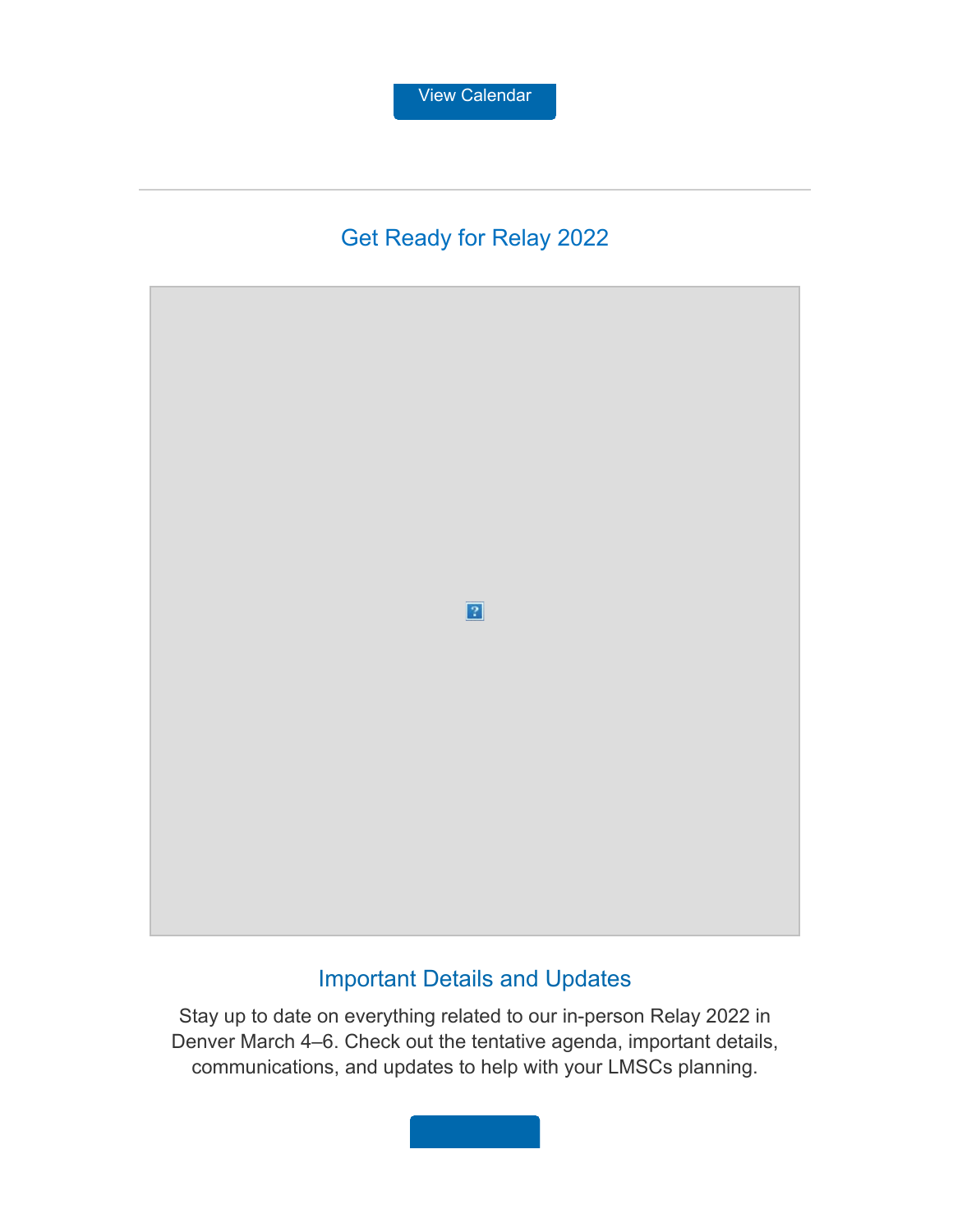# Get Ready for Relay 2022



# [Important](https://www.usms.org/sitecore%20modules/Web/EXM/RedirectUrlPage.aspx?ec_eq=yMT7zJAwHjObqjT4TGiDkTKqupj6iyHqbHAPmfuinILZXXrjiiGNjmWrtd6J5SHVP643YhZm9Zjei%2bo%2b74ih0yVjnsYNkp0gpWlGFnYx8uf9B0SLJxhEuhFqM1s4%2fmdqosTu%2bZRU9zsRBktknOgjiF%2bGwbb4BmFdlTKw%2ffjGtqDLij3pOmLjqk0kmC1R9%2fnKEod3UOdQtcnpoIZU%2bwiv%2fx7ijJDWs0wDXcDZha4MmSLcSDhWwXOrbf1mzSSB6fHq6i1Pk2RmrFKCbnDUJ47e7vvfz%2b40Otoh8mWO2xsN9lOmlAzxIm8XTDUBtpa7fubhcHqOUvJlJIZffF%2fjVUiAMh7Y8BNl5TPyCxJd5skD%2ftnaIxMifKTwYifEyymlAlKp) Details and Updates

Stay up to date on [everything](https://www.usms.org/sitecore%20modules/Web/EXM/RedirectUrlPage.aspx?ec_eq=yMT7zJAwHjObqjT4TGiDkTKqupj6iyHqbHAPmfuinILZXXrjiiGNjmWrtd6J5SHVP643YhZm9Zjei%2bo%2b74ih0yVjnsYNkp0gpWlGFnYx8uf9B0SLJxhEuhFqM1s4%2fmdqosTu%2bZRU9zsRBktknOgjiF%2bGwbb4BmFdlTKw%2ffjGtqDLij3pOmLjqk0kmC1R9%2fnKEod3UOdQtcnpoIZU%2bwiv%2fx7ijJDWs0wDXcDZha4MmSLcSDhWwXOrbf1mzSSB6fHq6i1Pk2RmrFKCbnDUJ47e7vvfz%2b40Otoh8mWO2xsN9lOmlAzxIm8XTDUBtpa7fubhcHqOUvJlJIZffF%2fjVUiAMh7Y8BNl5TPyCxJd5skD%2ftnaIxMifKTwYifEyymlAlKp) related to our in-person Relay 2022 in Denver March 4–6. Check out the tentative agenda, [important](https://www.usms.org/sitecore%20modules/Web/EXM/RedirectUrlPage.aspx?ec_eq=yMT7zJAwHjObqjT4TGiDkTKqupj6iyHqbHAPmfuinILZXXrjiiGNjmWrtd6J5SHVP643YhZm9Zjei%2bo%2b74ih0yVjnsYNkp0gpWlGFnYx8uf9B0SLJxhEuhFqM1s4%2fmdqosTu%2bZRU9zsRBktknOgjiF%2bGwbb4BmFdlTKw%2ffjGtqDLij3pOmLjqk0kmC1R9%2fnKEod3UOdQtcnpoIZU%2bwiv%2fx7ijJDWs0wDXcDZha4MmSLcSDhWwXOrbf1mzSSB6fHq6i1Pk2RmrFKCbnDUJ47e7vvfz%2b40Otoh8mWO2xsN9lOmlAzxIm8XTDUBtpa7fubhcHqOUvJlJIZffF%2fjVUiAMh7Y8BNl5TPyCxJd5skD%2ftnaIxMifKTwYifEyymlAlKp) details, [communications,](https://www.usms.org/sitecore%20modules/Web/EXM/RedirectUrlPage.aspx?ec_eq=yMT7zJAwHjObqjT4TGiDkTKqupj6iyHqbHAPmfuinILZXXrjiiGNjmWrtd6J5SHVP643YhZm9Zjei%2bo%2b74ih0yVjnsYNkp0gpWlGFnYx8uf9B0SLJxhEuhFqM1s4%2fmdqosTu%2bZRU9zsRBktknOgjiF%2bGwbb4BmFdlTKw%2ffjGtqDLij3pOmLjqk0kmC1R9%2fnKEod3UOdQtcnpoIZU%2bwiv%2fx7ijJDWs0wDXcDZha4MmSLcSDhWwXOrbf1mzSSB6fHq6i1Pk2RmrFKCbnDUJ47e7vvfz%2b40Otoh8mWO2xsN9lOmlAzxIm8XTDUBtpa7fubhcHqOUvJlJIZffF%2fjVUiAMh7Y8BNl5TPyCxJd5skD%2ftnaIxMifKTwYifEyymlAlKp) and updates to help with your LMSCs planning.

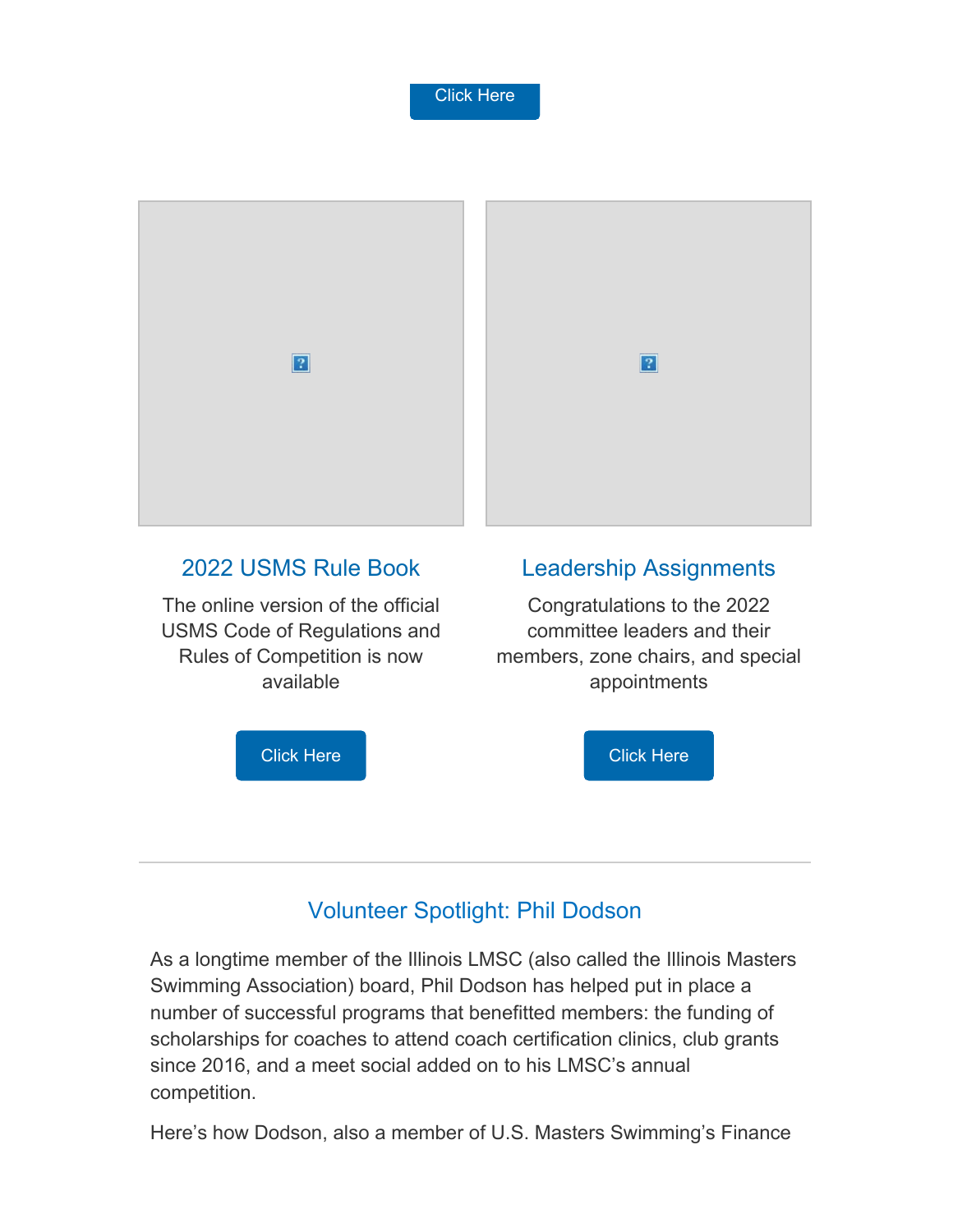



#### 2022 [USMS](https://www.usms.org/sitecore%20modules/Web/EXM/RedirectUrlPage.aspx?ec_eq=AwiRmOm6BOM71EkqPlG66L%2fCgz7dbT6Ph8eFptzgaf3IotIV9LvXYOnX0eItUnUC5C1nBycaUowPRYpm2lxk%2fWrwGsAa9v9F31ehKoNgcSJ%2bG%2bzsD%2fe%2bg%2boC7ijZmfH%2f5Y70YGOcFA3%2fmqNNfEQntXNv%2b5%2ft%2fYjG3EJQSK%2b2WJlVhkcfw86yuJqXOauxTO0zvaVnx4yPgw0jK7JwpStXFtw0P7ciVLQgP0nTNNaXbPHM4owH6S9XrpuankMhbOML2TzAelQEM8GczRgsQ7askgMbBkBz95%2b%2f%2fOviViMcU9I3U3ZqQxf7r19hEk2gRLHorU6Ji84SCP9zlOcn%2feja3tJ%2ftzz417J3VgUx3Nz2Cwbv4wgNOVcg91Qvi7MJYvVl) Rule Book

The online [version](https://www.usms.org/sitecore%20modules/Web/EXM/RedirectUrlPage.aspx?ec_eq=AwiRmOm6BOM71EkqPlG66L%2fCgz7dbT6Ph8eFptzgaf3IotIV9LvXYOnX0eItUnUC5C1nBycaUowPRYpm2lxk%2fWrwGsAa9v9F31ehKoNgcSJ%2bG%2bzsD%2fe%2bg%2boC7ijZmfH%2f5Y70YGOcFA3%2fmqNNfEQntXNv%2b5%2ft%2fYjG3EJQSK%2b2WJlVhkcfw86yuJqXOauxTO0zvaVnx4yPgw0jK7JwpStXFtw0P7ciVLQgP0nTNNaXbPHM4owH6S9XrpuankMhbOML2TzAelQEM8GczRgsQ7askgMbBkBz95%2b%2f%2fOviViMcU9I3U3ZqQxf7r19hEk2gRLHorU6Ji84SCP9zlOcn%2feja3tJ%2ftzz417J3VgUx3Nz2Cwbv4wgNOVcg91Qvi7MJYvVl) of the official USMS Code of [Regulations](https://www.usms.org/sitecore%20modules/Web/EXM/RedirectUrlPage.aspx?ec_eq=AwiRmOm6BOM71EkqPlG66L%2fCgz7dbT6Ph8eFptzgaf3IotIV9LvXYOnX0eItUnUC5C1nBycaUowPRYpm2lxk%2fWrwGsAa9v9F31ehKoNgcSJ%2bG%2bzsD%2fe%2bg%2boC7ijZmfH%2f5Y70YGOcFA3%2fmqNNfEQntXNv%2b5%2ft%2fYjG3EJQSK%2b2WJlVhkcfw86yuJqXOauxTO0zvaVnx4yPgw0jK7JwpStXFtw0P7ciVLQgP0nTNNaXbPHM4owH6S9XrpuankMhbOML2TzAelQEM8GczRgsQ7askgMbBkBz95%2b%2f%2fOviViMcU9I3U3ZqQxf7r19hEk2gRLHorU6Ji84SCP9zlOcn%2feja3tJ%2ftzz417J3VgUx3Nz2Cwbv4wgNOVcg91Qvi7MJYvVl) and Rules of [Competition](https://www.usms.org/sitecore%20modules/Web/EXM/RedirectUrlPage.aspx?ec_eq=AwiRmOm6BOM71EkqPlG66L%2fCgz7dbT6Ph8eFptzgaf3IotIV9LvXYOnX0eItUnUC5C1nBycaUowPRYpm2lxk%2fWrwGsAa9v9F31ehKoNgcSJ%2bG%2bzsD%2fe%2bg%2boC7ijZmfH%2f5Y70YGOcFA3%2fmqNNfEQntXNv%2b5%2ft%2fYjG3EJQSK%2b2WJlVhkcfw86yuJqXOauxTO0zvaVnx4yPgw0jK7JwpStXFtw0P7ciVLQgP0nTNNaXbPHM4owH6S9XrpuankMhbOML2TzAelQEM8GczRgsQ7askgMbBkBz95%2b%2f%2fOviViMcU9I3U3ZqQxf7r19hEk2gRLHorU6Ji84SCP9zlOcn%2feja3tJ%2ftzz417J3VgUx3Nz2Cwbv4wgNOVcg91Qvi7MJYvVl) is now [available](https://www.usms.org/sitecore%20modules/Web/EXM/RedirectUrlPage.aspx?ec_eq=AwiRmOm6BOM71EkqPlG66L%2fCgz7dbT6Ph8eFptzgaf3IotIV9LvXYOnX0eItUnUC5C1nBycaUowPRYpm2lxk%2fWrwGsAa9v9F31ehKoNgcSJ%2bG%2bzsD%2fe%2bg%2boC7ijZmfH%2f5Y70YGOcFA3%2fmqNNfEQntXNv%2b5%2ft%2fYjG3EJQSK%2b2WJlVhkcfw86yuJqXOauxTO0zvaVnx4yPgw0jK7JwpStXFtw0P7ciVLQgP0nTNNaXbPHM4owH6S9XrpuankMhbOML2TzAelQEM8GczRgsQ7askgMbBkBz95%2b%2f%2fOviViMcU9I3U3ZqQxf7r19hEk2gRLHorU6Ji84SCP9zlOcn%2feja3tJ%2ftzz417J3VgUx3Nz2Cwbv4wgNOVcg91Qvi7MJYvVl)

#### Leadership [Assignments](https://www.usms.org/sitecore%20modules/Web/EXM/RedirectUrlPage.aspx?ec_eq=dvi5qRQwo7VXQaAd%2fwb8FYF3NqwVV6VxssYgtx3rYgV5qV1zoeXjyNQRTSD6hJ3faAu7lNHyS3kzi1mlyk5WLAQRHHNv2UgXxFGGw45J5PNNDCyZR2U0Y4RZADjxhPeSFYOlcrJpsyZNrlk4p8JQVvP0Gd47gn6NwhyPZ7SI0nzDjc8ff1HMpL%2fFMkr9XTDQtTWVUOM5phLo8ZCo0e%2fiMkRHcQnTyREtA3GDQV2BJukhMmzOpQ2XOpc06grK%2fJU7TdDfWvf1Qw2oawSqM4AICK5HbZRz94mvWA8kOGj8a6AsLbZmN%2fBnzBGtmfYekmOpSW5oDIs5etrl1iByomtp7cg8tpzFUuxhftKtlWIB7CbSlWtlNRJvcPHw3LTbs%2bUUSf4eAiJzLu5YF1PAbqpEeg%3d%3d)

[Congratulations](https://www.usms.org/sitecore%20modules/Web/EXM/RedirectUrlPage.aspx?ec_eq=dvi5qRQwo7VXQaAd%2fwb8FYF3NqwVV6VxssYgtx3rYgV5qV1zoeXjyNQRTSD6hJ3faAu7lNHyS3kzi1mlyk5WLAQRHHNv2UgXxFGGw45J5PNNDCyZR2U0Y4RZADjxhPeSFYOlcrJpsyZNrlk4p8JQVvP0Gd47gn6NwhyPZ7SI0nzDjc8ff1HMpL%2fFMkr9XTDQtTWVUOM5phLo8ZCo0e%2fiMkRHcQnTyREtA3GDQV2BJukhMmzOpQ2XOpc06grK%2fJU7TdDfWvf1Qw2oawSqM4AICK5HbZRz94mvWA8kOGj8a6AsLbZmN%2fBnzBGtmfYekmOpSW5oDIs5etrl1iByomtp7cg8tpzFUuxhftKtlWIB7CbSlWtlNRJvcPHw3LTbs%2bUUSf4eAiJzLu5YF1PAbqpEeg%3d%3d) to the 2022 [committee](https://www.usms.org/sitecore%20modules/Web/EXM/RedirectUrlPage.aspx?ec_eq=dvi5qRQwo7VXQaAd%2fwb8FYF3NqwVV6VxssYgtx3rYgV5qV1zoeXjyNQRTSD6hJ3faAu7lNHyS3kzi1mlyk5WLAQRHHNv2UgXxFGGw45J5PNNDCyZR2U0Y4RZADjxhPeSFYOlcrJpsyZNrlk4p8JQVvP0Gd47gn6NwhyPZ7SI0nzDjc8ff1HMpL%2fFMkr9XTDQtTWVUOM5phLo8ZCo0e%2fiMkRHcQnTyREtA3GDQV2BJukhMmzOpQ2XOpc06grK%2fJU7TdDfWvf1Qw2oawSqM4AICK5HbZRz94mvWA8kOGj8a6AsLbZmN%2fBnzBGtmfYekmOpSW5oDIs5etrl1iByomtp7cg8tpzFUuxhftKtlWIB7CbSlWtlNRJvcPHw3LTbs%2bUUSf4eAiJzLu5YF1PAbqpEeg%3d%3d) leaders and their [members,](https://www.usms.org/sitecore%20modules/Web/EXM/RedirectUrlPage.aspx?ec_eq=dvi5qRQwo7VXQaAd%2fwb8FYF3NqwVV6VxssYgtx3rYgV5qV1zoeXjyNQRTSD6hJ3faAu7lNHyS3kzi1mlyk5WLAQRHHNv2UgXxFGGw45J5PNNDCyZR2U0Y4RZADjxhPeSFYOlcrJpsyZNrlk4p8JQVvP0Gd47gn6NwhyPZ7SI0nzDjc8ff1HMpL%2fFMkr9XTDQtTWVUOM5phLo8ZCo0e%2fiMkRHcQnTyREtA3GDQV2BJukhMmzOpQ2XOpc06grK%2fJU7TdDfWvf1Qw2oawSqM4AICK5HbZRz94mvWA8kOGj8a6AsLbZmN%2fBnzBGtmfYekmOpSW5oDIs5etrl1iByomtp7cg8tpzFUuxhftKtlWIB7CbSlWtlNRJvcPHw3LTbs%2bUUSf4eAiJzLu5YF1PAbqpEeg%3d%3d) zone chairs, and special [appointments](https://www.usms.org/sitecore%20modules/Web/EXM/RedirectUrlPage.aspx?ec_eq=dvi5qRQwo7VXQaAd%2fwb8FYF3NqwVV6VxssYgtx3rYgV5qV1zoeXjyNQRTSD6hJ3faAu7lNHyS3kzi1mlyk5WLAQRHHNv2UgXxFGGw45J5PNNDCyZR2U0Y4RZADjxhPeSFYOlcrJpsyZNrlk4p8JQVvP0Gd47gn6NwhyPZ7SI0nzDjc8ff1HMpL%2fFMkr9XTDQtTWVUOM5phLo8ZCo0e%2fiMkRHcQnTyREtA3GDQV2BJukhMmzOpQ2XOpc06grK%2fJU7TdDfWvf1Qw2oawSqM4AICK5HbZRz94mvWA8kOGj8a6AsLbZmN%2fBnzBGtmfYekmOpSW5oDIs5etrl1iByomtp7cg8tpzFUuxhftKtlWIB7CbSlWtlNRJvcPHw3LTbs%2bUUSf4eAiJzLu5YF1PAbqpEeg%3d%3d)



# Volunteer Spotlight: Phil Dodson

As a longtime member of the Illinois LMSC (also called the Illinois Masters Swimming Association) board, Phil Dodson has helped put in place a number of successful programs that benefitted members: the funding of scholarships for coaches to attend coach certification clinics, club grants since 2016, and a meet social added on to his LMSC's annual competition.

Here's how Dodson, also a member of U.S. Masters Swimming's Finance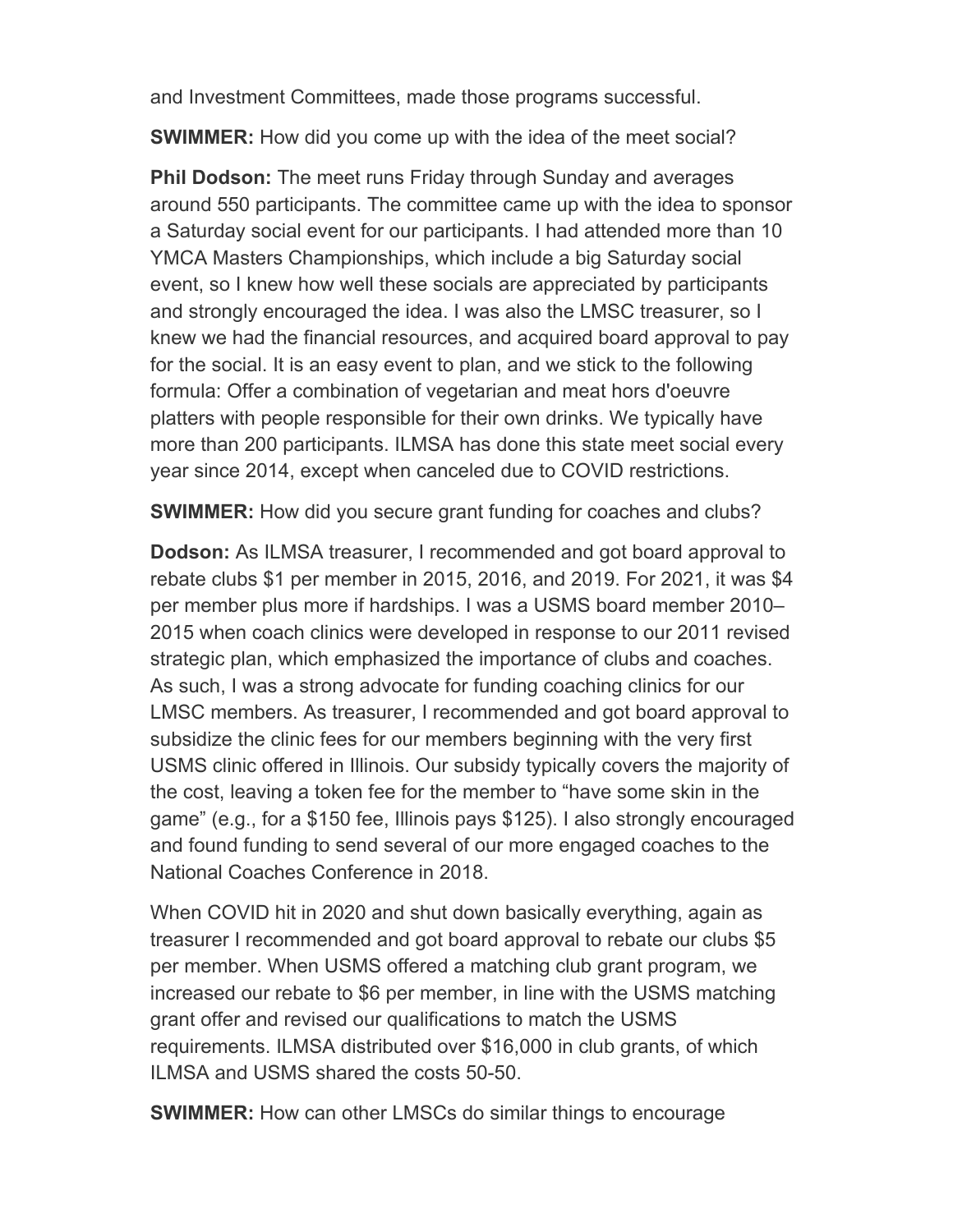and Investment Committees, made those programs successful.

**SWIMMER:** How did you come up with the idea of the meet social?

**Phil Dodson:** The meet runs Friday through Sunday and averages around 550 participants. The committee came up with the idea to sponsor a Saturday social event for our participants. I had attended more than 10 YMCA Masters Championships, which include a big Saturday social event, so I knew how well these socials are appreciated by participants and strongly encouraged the idea. I was also the LMSC treasurer, so I knew we had the financial resources, and acquired board approval to pay for the social. It is an easy event to plan, and we stick to the following formula: Offer a combination of vegetarian and meat hors d'oeuvre platters with people responsible for their own drinks. We typically have more than 200 participants. ILMSA has done this state meet social every year since 2014, except when canceled due to COVID restrictions.

**SWIMMER:** How did you secure grant funding for coaches and clubs?

**Dodson:** As ILMSA treasurer, I recommended and got board approval to rebate clubs \$1 per member in 2015, 2016, and 2019. For 2021, it was \$4 per member plus more if hardships. I was a USMS board member 2010– 2015 when coach clinics were developed in response to our 2011 revised strategic plan, which emphasized the importance of clubs and coaches. As such, I was a strong advocate for funding coaching clinics for our LMSC members. As treasurer, I recommended and got board approval to subsidize the clinic fees for our members beginning with the very first USMS clinic offered in Illinois. Our subsidy typically covers the majority of the cost, leaving a token fee for the member to "have some skin in the game" (e.g., for a \$150 fee, Illinois pays \$125). I also strongly encouraged and found funding to send several of our more engaged coaches to the National Coaches Conference in 2018.

When COVID hit in 2020 and shut down basically everything, again as treasurer I recommended and got board approval to rebate our clubs \$5 per member. When USMS offered a matching club grant program, we increased our rebate to \$6 per member, in line with the USMS matching grant offer and revised our qualifications to match the USMS requirements. ILMSA distributed over \$16,000 in club grants, of which ILMSA and USMS shared the costs 50-50.

**SWIMMER:** How can other LMSCs do similar things to encourage